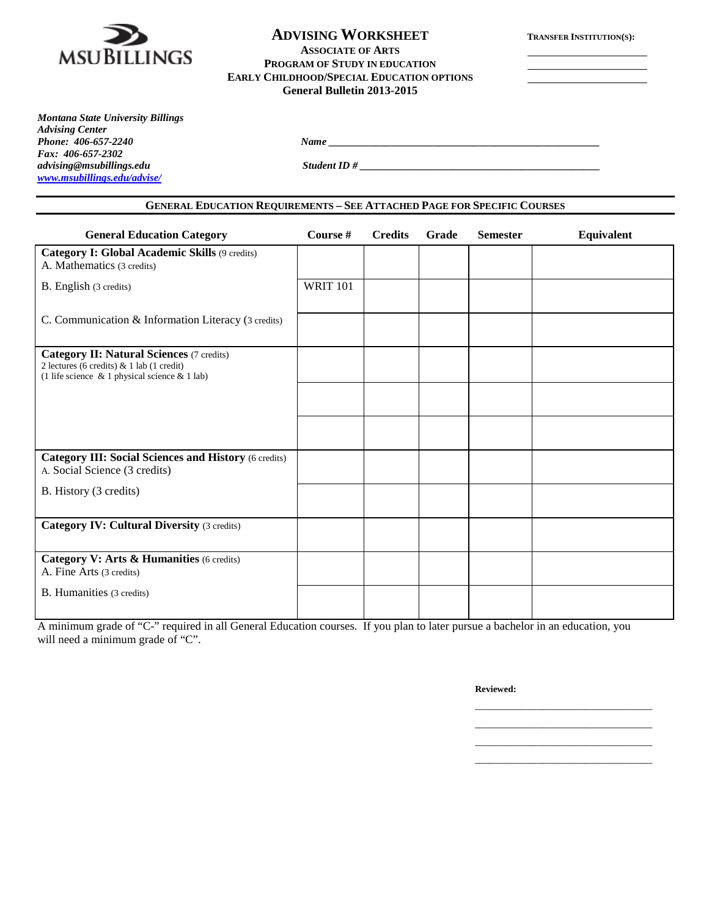

# **ADVISING WORKSHEET TRANSFER INSTITUTION(S): ASSOCIATE OF ARTS**

**PROGRAM OF STUDY IN EDUCATION EARLY CHILDHOOD/SPECIAL EDUCATION OPTIONS General Bulletin 2013-2015**

*Montana State University Billings Advising Center Fax: 406-657-2302 [www.msubillings.edu/advise/](http://www.msubillings.edu/advise/)*

*advising@msubillings.edu Student ID # \_\_\_\_\_\_\_\_\_\_\_\_\_\_\_\_\_\_\_\_\_\_\_\_\_\_\_\_\_\_\_\_\_\_\_\_\_\_\_\_\_\_\_\_\_\_*

### **GENERAL EDUCATION REQUIREMENTS – SEE ATTACHED PAGE FOR SPECIFIC COURSES**

*Phone: 406-657-2240 Name \_\_\_\_\_\_\_\_\_\_\_\_\_\_\_\_\_\_\_\_\_\_\_\_\_\_\_\_\_\_\_\_\_\_\_\_\_\_\_\_\_\_\_\_\_\_\_\_\_\_\_\_*

| <b>General Education Category</b>                                                                                                                    | Course #        | <b>Credits</b> | Grade | <b>Semester</b> | Equivalent |
|------------------------------------------------------------------------------------------------------------------------------------------------------|-----------------|----------------|-------|-----------------|------------|
| <b>Category I: Global Academic Skills (9 credits)</b><br>A. Mathematics (3 credits)                                                                  |                 |                |       |                 |            |
| B. English (3 credits)                                                                                                                               | <b>WRIT 101</b> |                |       |                 |            |
| C. Communication & Information Literacy (3 credits)                                                                                                  |                 |                |       |                 |            |
| <b>Category II: Natural Sciences (7 credits)</b><br>2 lectures (6 credits) & 1 lab (1 credit)<br>(1 life science $\&$ 1 physical science $\&$ 1 lab) |                 |                |       |                 |            |
|                                                                                                                                                      |                 |                |       |                 |            |
|                                                                                                                                                      |                 |                |       |                 |            |
| <b>Category III: Social Sciences and History (6 credits)</b><br>A. Social Science (3 credits)                                                        |                 |                |       |                 |            |
| B. History (3 credits)                                                                                                                               |                 |                |       |                 |            |
| <b>Category IV: Cultural Diversity (3 credits)</b>                                                                                                   |                 |                |       |                 |            |
| Category V: Arts & Humanities (6 credits)<br>A. Fine Arts (3 credits)                                                                                |                 |                |       |                 |            |
| B. Humanities (3 credits)                                                                                                                            |                 |                |       |                 |            |

A minimum grade of "C-" required in all General Education courses. If you plan to later pursue a bachelor in an education, you will need a minimum grade of "C".

**Reviewed:**

\_\_\_\_\_\_\_\_\_\_\_\_\_\_\_\_\_\_\_\_\_\_\_\_\_\_\_\_\_\_\_\_\_\_ \_\_\_\_\_\_\_\_\_\_\_\_\_\_\_\_\_\_\_\_\_\_\_\_\_\_\_\_\_\_\_\_\_\_ \_\_\_\_\_\_\_\_\_\_\_\_\_\_\_\_\_\_\_\_\_\_\_\_\_\_\_\_\_\_\_\_\_\_

\_\_\_\_\_\_\_\_\_\_\_\_\_\_\_\_\_\_\_\_\_\_\_\_\_\_\_\_\_\_\_\_\_\_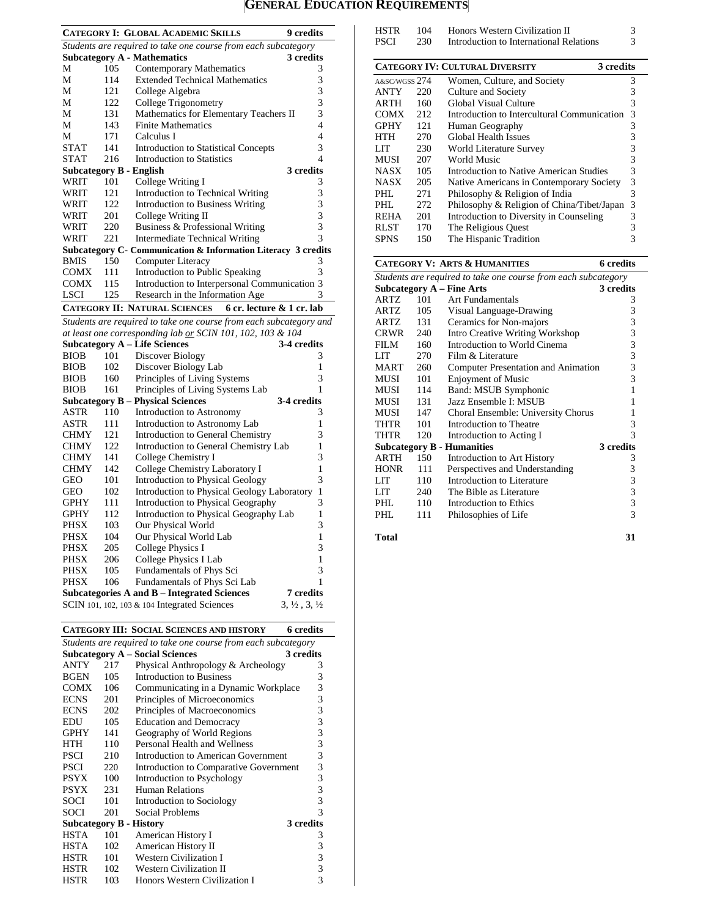### **GENERAL EDUCATION REQUIREMENTS**

|                                                                |            | <b>CATEGORY I: GLOBAL ACADEMIC SKILLS</b>                          | 9 credits                        |  |
|----------------------------------------------------------------|------------|--------------------------------------------------------------------|----------------------------------|--|
| Students are required to take one course from each subcategory |            |                                                                    |                                  |  |
|                                                                |            | <b>Subcategory A - Mathematics</b>                                 | 3 credits                        |  |
| М                                                              | 105        | <b>Contemporary Mathematics</b>                                    | 3                                |  |
| М                                                              | 114        | <b>Extended Technical Mathematics</b>                              | 3                                |  |
| М                                                              | 121        | College Algebra                                                    | 3                                |  |
| М                                                              | 122        | College Trigonometry                                               | 3                                |  |
| М                                                              | 131        | Mathematics for Elementary Teachers II                             | 3                                |  |
| М                                                              | 143        | <b>Finite Mathematics</b>                                          | 4                                |  |
| М                                                              | 171        | Calculus I                                                         | 4                                |  |
| <b>STAT</b>                                                    | 141        | <b>Introduction to Statistical Concepts</b>                        | 3                                |  |
| <b>STAT</b>                                                    | 216        | <b>Introduction to Statistics</b>                                  | 4                                |  |
| <b>Subcategory B - English</b>                                 |            |                                                                    | 3 credits                        |  |
| WRIT                                                           | 101        | College Writing I                                                  | 3                                |  |
| WRIT                                                           | 121        | Introduction to Technical Writing                                  | 3                                |  |
| WRIT                                                           | 122        | <b>Introduction to Business Writing</b>                            | 3                                |  |
| WRIT                                                           | 201        | College Writing II                                                 | 3                                |  |
| WRIT                                                           | 220        | Business & Professional Writing                                    | 3                                |  |
| WRIT                                                           | 221        | <b>Intermediate Technical Writing</b>                              | 3                                |  |
|                                                                |            | Subcategory C- Communication & Information Literacy 3 credits      |                                  |  |
| <b>BMIS</b>                                                    | 150        | Computer Literacy                                                  | 3                                |  |
| COMX                                                           | 111        | <b>Introduction to Public Speaking</b>                             | 3                                |  |
| <b>COMX</b>                                                    | 115        | Introduction to Interpersonal Communication 3                      |                                  |  |
| <b>LSCI</b>                                                    | 125        | Research in the Information Age                                    | 3                                |  |
|                                                                |            | 6 cr. lecture & 1 cr. lab<br><b>CATEGORY II: NATURAL SCIENCES</b>  |                                  |  |
|                                                                |            | Students are required to take one course from each subcategory and |                                  |  |
|                                                                |            | at least one corresponding lab or SCIN 101, 102, 103 & 104         |                                  |  |
|                                                                |            | <b>Subcategory A - Life Sciences</b>                               | 3-4 credits                      |  |
| <b>BIOB</b>                                                    | 101        | Discover Biology                                                   | 3                                |  |
| <b>BIOB</b>                                                    | 102        | Discover Biology Lab                                               | 1                                |  |
| <b>BIOB</b>                                                    | 160        | Principles of Living Systems                                       | 3                                |  |
| <b>BIOB</b>                                                    | 161        | Principles of Living Systems Lab                                   | 1                                |  |
|                                                                |            | <b>Subcategory B - Physical Sciences</b>                           | 3-4 credits                      |  |
| ASTR                                                           | 110        | Introduction to Astronomy                                          | 3                                |  |
| ASTR                                                           | 111        | Introduction to Astronomy Lab                                      | 1                                |  |
| CHMY                                                           | 121        | Introduction to General Chemistry                                  | 3                                |  |
| CHMY                                                           | 122        | Introduction to General Chemistry Lab                              | 1                                |  |
| <b>CHMY</b>                                                    | 141        | College Chemistry I                                                | 3                                |  |
| CHMY                                                           | 142        | College Chemistry Laboratory I                                     | 1                                |  |
| <b>GEO</b>                                                     | 101        | Introduction to Physical Geology                                   | 3                                |  |
| GEO                                                            | 102        | Introduction to Physical Geology Laboratory                        | 1                                |  |
| <b>GPHY</b>                                                    | 111        | Introduction to Physical Geography                                 | 3                                |  |
| <b>GPHY</b>                                                    | 112        | Introduction to Physical Geography Lab                             | 1                                |  |
| <b>PHSX</b>                                                    | 103        | Our Physical World                                                 | 3                                |  |
| PHSX                                                           | 104        | Our Physical World Lab                                             | 1                                |  |
| PHSX                                                           | 205        |                                                                    | 3                                |  |
| <b>PHSX</b>                                                    | 206        | <b>College Physics I</b><br><b>College Physics I Lab</b>           | $\mathbf{1}$                     |  |
|                                                                |            |                                                                    | 3                                |  |
| PHSX<br><b>PHSX</b>                                            | 105<br>106 | Fundamentals of Phys Sci<br>Fundamentals of Phys Sci Lab           | 1                                |  |
|                                                                |            | Subcategories A and B – Integrated Sciences                        | 7 credits                        |  |
|                                                                |            | SCIN 101, 102, 103 & 104 Integrated Sciences                       | $3, \frac{1}{2}, 3, \frac{1}{2}$ |  |
|                                                                |            |                                                                    |                                  |  |
|                                                                |            |                                                                    |                                  |  |

|                                |     | CATEGORY III: SOCIAL SCIENCES AND HISTORY                      | <b>6</b> credits |
|--------------------------------|-----|----------------------------------------------------------------|------------------|
|                                |     | Students are required to take one course from each subcategory |                  |
|                                |     | <b>Subcategory A – Social Sciences</b>                         | 3 credits        |
| ANTY                           | 217 | Physical Anthropology & Archeology                             | 3                |
| BGEN                           | 105 | Introduction to Business                                       | 3                |
| COMX                           | 106 | Communicating in a Dynamic Workplace                           | 3                |
| ECNS                           | 201 | Principles of Microeconomics                                   | 3                |
| ECNS                           | 202 | Principles of Macroeconomics                                   | 3                |
| EDU                            | 105 | <b>Education and Democracy</b>                                 | 3                |
| GPHY                           | 141 | Geography of World Regions                                     | 3                |
| <b>HTH</b>                     | 110 | Personal Health and Wellness                                   | 3                |
| <b>PSCI</b>                    | 210 | Introduction to American Government                            | 3                |
| <b>PSCI</b>                    | 220 | Introduction to Comparative Government                         | 3                |
| <b>PSYX</b>                    | 100 | Introduction to Psychology                                     | 3                |
| PSYX                           | 231 | <b>Human Relations</b>                                         | 3                |
| SOCI                           | 101 | Introduction to Sociology                                      | 3                |
| <b>SOCI</b>                    | 201 | Social Problems                                                | 3                |
| <b>Subcategory B - History</b> |     |                                                                | 3 credits        |
| <b>HSTA</b>                    | 101 | American History I                                             | 3                |
| HSTA                           | 102 | American History II                                            | 3                |
| HSTR                           | 101 | <b>Western Civilization I</b>                                  | 3                |
| HSTR                           | 102 | <b>Western Civilization II</b>                                 | 3                |
| <b>HSTR</b>                    | 103 | Honors Western Civilization I                                  | 3                |

| <b>HSTR</b>   | 104  | Honors Western Civilization II                                 | 3                |
|---------------|------|----------------------------------------------------------------|------------------|
| <b>PSCI</b>   | 230  | Introduction to International Relations                        | 3                |
|               |      |                                                                |                  |
|               |      | <b>CATEGORY IV: CULTURAL DIVERSITY</b>                         | 3 credits        |
| A&SC/WGSS 274 |      | Women, Culture, and Society                                    | 3                |
| ANTY          | 220  | Culture and Society                                            | 3                |
| ARTH          | 160  | <b>Global Visual Culture</b>                                   | 3                |
| <b>COMX</b>   | 212  | Introduction to Intercultural Communication                    | 3                |
| <b>GPHY</b>   | 12.1 | Human Geography                                                | 3                |
| <b>HTH</b>    | 270  | <b>Global Health Issues</b>                                    | 3                |
| LIT           | 230  | World Literature Survey                                        | 3                |
| MUSI          | 207  | <b>World Music</b>                                             | 3                |
| <b>NASX</b>   | 105  | Introduction to Native American Studies                        | 3                |
| <b>NASX</b>   | 205  | Native Americans in Contemporary Society                       | 3                |
| PHI.          | 271  | Philosophy & Religion of India                                 | 3                |
| PHL.          | 272  | Philosophy & Religion of China/Tibet/Japan                     | 3                |
| <b>REHA</b>   | 201  | Introduction to Diversity in Counseling                        | 3                |
| <b>RLST</b>   | 170  | The Religious Quest                                            | 3                |
| <b>SPNS</b>   | 150  | The Hispanic Tradition                                         | 3                |
|               |      |                                                                |                  |
|               |      | <b>CATEGORY V: ARTS &amp; HUMANITIES</b>                       | <b>6</b> credits |
|               |      | Students are required to take one course from each subcategory |                  |
|               |      | <b>Subcategory A – Fine Arts</b>                               | 3 credits        |
| <b>ARTZ</b>   | 101  | Art Fundamentals                                               | 3                |
| ARTZ          | 105  | Visual Language-Drawing                                        | 3                |
| ARTZ          | 131  | Ceramics for Non-majors                                        | 3                |
| <b>CRWR</b>   | 240  | <b>Intro Creative Writing Workshop</b>                         | 3                |
| FILM          | 160  | Introduction to World Cinema                                   | 3                |
| LIT           | 270  | Film & Literature                                              | 3                |
| MART          | 260  | Computer Presentation and Animation                            | 3                |

MUSI 101 Enjoyment of Music 3 MUSI 114 Band: MSUB Symphonic 1 MUSI 131 Jazz Ensemble I: MSUB 1<br>MUSI 147 Choral Ensemble: University Chorus 1 MUSI 147 Choral Ensemble: University Chorus 1<br>THTR 101 Introduction to Theatre 3 THTR 101 Introduction to Theatre 3<br>THTR 120 Introduction to Acting I 3

**Subcategory B - Humanities** 3 credits<br>ARTH 150 Introduction to Art History 3 ARTH 150 Introduction to Art History 3<br>HONR 111 Perspectives and Understanding 3 HONR 111 Perspectives and Understanding 3<br>LIT 110 Introduction to Literature 3 LIT 110 Introduction to Literature 3<br>
LIT 240 The Bible as Literature 3 LIT 240 The Bible as Literature 3<br>PHL 110 Introduction to Ethics 3 PHL 110 Introduction to Ethics 3<br>PHL 111 Philosophies of Life 3 Philosophies of Life

Introduction to Acting I<br>
Humanities
3 credits

| Total | 31 |
|-------|----|
|       |    |